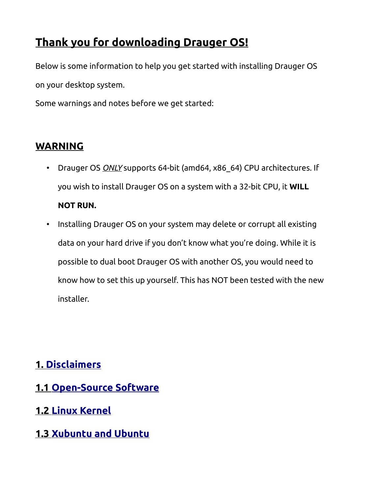# **Thank you for downloading Drauger OS!**

Below is some information to help you get started with installing Drauger OS on your desktop system.

Some warnings and notes before we get started:

### **WARNING**

- Drauger OS *ONLY* supports 64-bit (amd64, x86\_64) CPU architectures. If you wish to install Drauger OS on a system with a 32-bit CPU, it **WILL NOT RUN.**
- Installing Drauger OS on your system may delete or corrupt all existing data on your hard drive if you don't know what you're doing. While it is possible to dual boot Drauger OS with another OS, you would need to know how to set this up yourself. This has NOT been tested with the new installer.

### **1. [Disclaimers](#page-2-0)**

- **1.1 [Open-Source Software](#page-2-3)**
- **1.2 [Linux Kernel](#page-2-2)**
- **1.3 [Xubuntu and Ubuntu](#page-2-1)**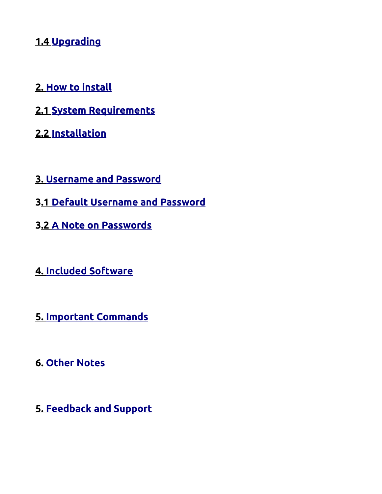## **1.4 [Upgrading](#page-3-2)**

- **2. [How to install](#page-3-1)**
- **2.1 [System Requirements](#page-3-0)**
- **2.2 [Installation](#page-5-0)**
- **3. [Username and Password](#page-6-0)**
- **3 .1 [Default Username and Password](#page-7-1)**
- **3 .2 [A Note on Passwords](#page-7-0)**
- **4. [Included Software](#page-8-0)**
- **5. [Important Commands](#page-9-0)**
- **6. Other Notes**
- **5. [Feedback and Support](#page-10-0)**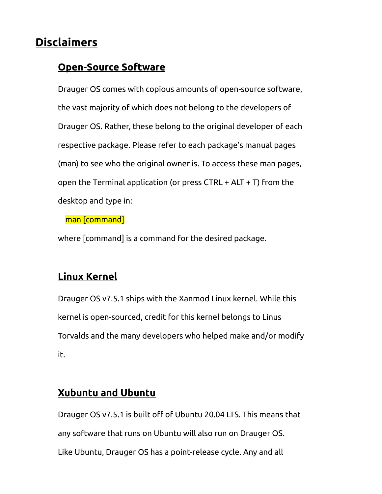# <span id="page-2-0"></span>**Disclaimers**

### <span id="page-2-3"></span>**Open-Source Software**

Drauger OS comes with copious amounts of open-source software, the vast majority of which does not belong to the developers of Drauger OS. Rather, these belong to the original developer of each respective package. Please refer to each package's manual pages (man) to see who the original owner is. To access these man pages, open the Terminal application (or press CTRL + ALT + T) from the desktop and type in:

man [command]

where [command] is a command for the desired package.

## <span id="page-2-2"></span>**Linux Kernel**

Drauger OS v7.5.1 ships with the Xanmod Linux kernel. While this kernel is open-sourced, credit for this kernel belongs to Linus Torvalds and the many developers who helped make and/or modify it.

## <span id="page-2-1"></span>**Xubuntu and Ubuntu**

Drauger OS v7.5.1 is built off of Ubuntu 20.04 LTS. This means that any software that runs on Ubuntu will also run on Drauger OS. Like Ubuntu, Drauger OS has a point-release cycle. Any and all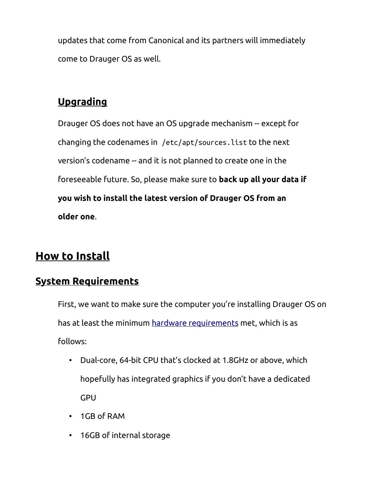updates that come from Canonical and its partners will immediately come to Drauger OS as well.

# <span id="page-3-2"></span>**Upgrading**

Drauger OS does not have an OS upgrade mechanism -- except for changing the codenames in /etc/apt/sources.list to the next version's codename -- and it is not planned to create one in the foreseeable future. So, please make sure to **back up all your data if you wish to install the latest version of Drauger OS from an older one**.

# <span id="page-3-1"></span>**How to Install**

### <span id="page-3-0"></span>**System Requirements**

First, we want to make sure the computer you're installing Drauger OS on has at least the minimum [hardware requirements](https://www.draugeros.org/go/system-requirements/) met, which is as follows:

- Dual-core, 64-bit CPU that's clocked at 1.8GHz or above, which hopefully has integrated graphics if you don't have a dedicated GPU
- 1GB of RAM
- 16GB of internal storage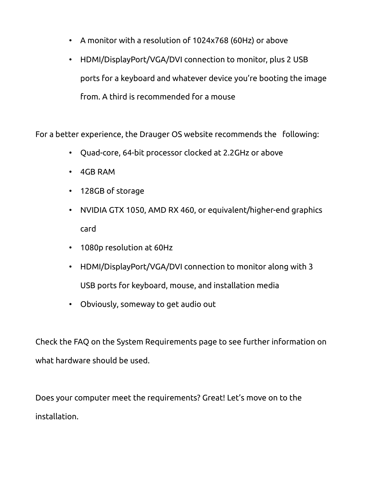- A monitor with a resolution of 1024x768 (60Hz) or above
- HDMI/DisplayPort/VGA/DVI connection to monitor, plus 2 USB ports for a keyboard and whatever device you're booting the image from. A third is recommended for a mouse

For a better experience, the Drauger OS website recommends the following:

- Quad-core, 64-bit processor clocked at 2.2GHz or above
- 4GB RAM
- 128GB of storage
- NVIDIA GTX 1050, AMD RX 460, or equivalent/higher-end graphics card
- 1080p resolution at 60Hz
- HDMI/DisplayPort/VGA/DVI connection to monitor along with 3 USB ports for keyboard, mouse, and installation media
- Obviously, someway to get audio out

Check the FAQ on the System Requirements page to see further information on what hardware should be used.

Does your computer meet the requirements? Great! Let's move on to the installation.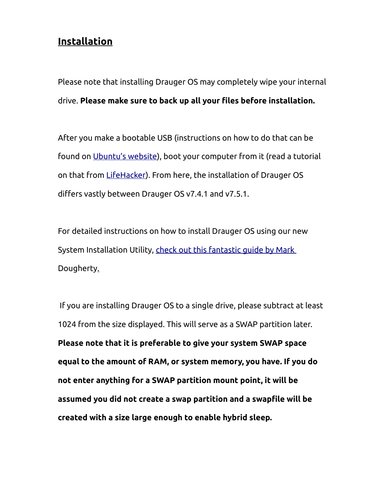#### <span id="page-5-0"></span>**Installation**

Please note that installing Drauger OS may completely wipe your internal drive. **Please make sure to back up all your files before installation.**

After you make a bootable USB (instructions on how to do that can be found on [Ubuntu's website\)](https://ubuntu.com/tutorials/tutorial-create-a-usb-stick-on-windows#1-overview), boot your computer from it (read a tutorial on that from [LifeHacker\)](https://lifehacker.com/how-to-boot-from-a-usb-drive-or-cd-on-any-computer-5991848). From here, the installation of Drauger OS differs vastly between Drauger OS v7.4.1 and v7.5.1.

For detailed instructions on how to install Drauger OS using our new System Installation Utility, [check out this fantastic guide by Mark](https://draugeros.org/go/wiki/a-guide-to-installing-drauger-os/)  [Dougherty.](https://draugeros.org/go/wiki/a-guide-to-installing-drauger-os/)

 If you are installing Drauger OS to a single drive, please subtract at least 1024 from the size displayed. This will serve as a SWAP partition later. **Please note that it is preferable to give your system SWAP space equal to the amount of RAM, or system memory, you have. If you do not enter anything for a SWAP partition mount point, it will be assumed you did not create a swap partition and a swapfile will be created with a size large enough to enable hybrid sleep.**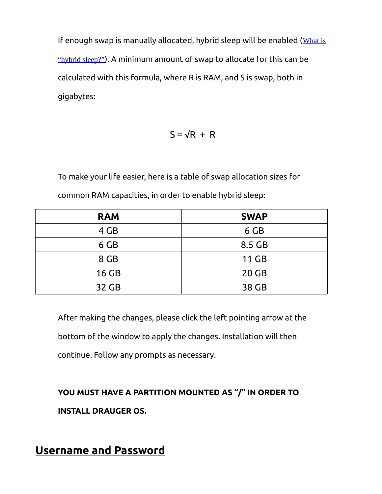If enough swap is manually allocated, hybrid sleep will be enabled ([What is](https://www.draugeros.org/go/wiki/what-is-hybrid-suspend/) ["hybrid sleep?"](https://www.draugeros.org/go/wiki/what-is-hybrid-suspend/)). A minimum amount of swap to allocate for this can be calculated with this formula, where R is RAM, and S is swap, both in gigabytes:

 $S = \sqrt{R + R}$ 

To make your life easier, here is a table of swap allocation sizes for common RAM capacities, in order to enable hybrid sleep:

| <b>RAM</b> | <b>SWAP</b>  |
|------------|--------------|
| 4 GB       | 6 GB         |
| 6 GB       | 8.5 GB       |
| 8 GB       | <b>11 GB</b> |
| $16$ GB    | $20$ GB      |
| 32 GB      | 38 GB        |

After making the changes, please click the left pointing arrow at the

bottom of the window to apply the changes. Installation will then

continue. Follow any prompts as necessary.

**YOU MUST HAVE A PARTITION MOUNTED AS "/" IN ORDER TO INSTALL DRAUGER OS.**

<span id="page-6-0"></span>**Username and Password**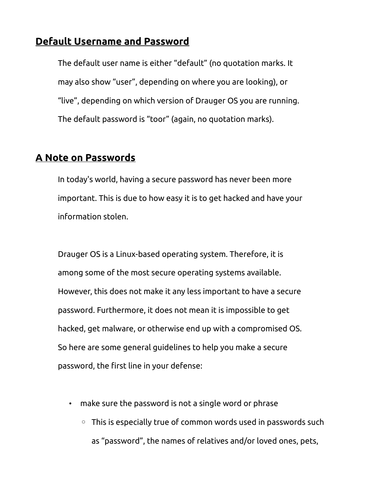#### <span id="page-7-1"></span>**Default Username and Password**

The default user name is either "default" (no quotation marks. It may also show "user", depending on where you are looking), or "live", depending on which version of Drauger OS you are running. The default password is "toor" (again, no quotation marks).

#### <span id="page-7-0"></span>**A Note on Passwords**

In today's world, having a secure password has never been more important. This is due to how easy it is to get hacked and have your information stolen.

Drauger OS is a Linux-based operating system. Therefore, it is among some of the most secure operating systems available. However, this does not make it any less important to have a secure password. Furthermore, it does not mean it is impossible to get hacked, get malware, or otherwise end up with a compromised OS. So here are some general guidelines to help you make a secure password, the first line in your defense:

- make sure the password is not a single word or phrase
	- This is especially true of common words used in passwords such as "password", the names of relatives and/or loved ones, pets,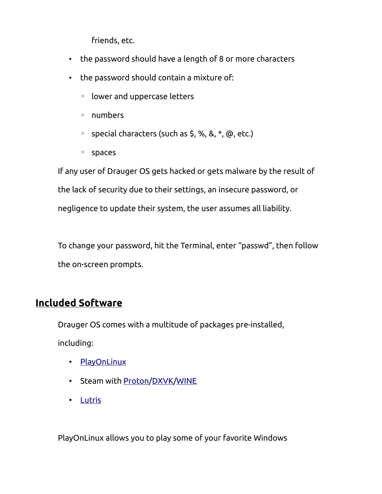friends, etc.

- the password should have a length of 8 or more characters
- the password should contain a mixture of:
	- lower and uppercase letters
	- numbers
	- special characters (such as \$, %, &, \*, @, etc.)
	- spaces

If any user of Drauger OS gets hacked or gets malware by the result of the lack of security due to their settings, an insecure password, or negligence to update their system, the user assumes all liability.

To change your password, hit the Terminal, enter "passwd", then follow the on-screen prompts.

#### <span id="page-8-0"></span>**Included Software**

Drauger OS comes with a multitude of packages pre-installed, including:

- • [PlayOnLinux](https://www.playonlinux.com/en/)
- Steam with [Proton/](https://github.com/ValveSoftware/Proton/)[DXVK](https://github.com/doitsujin/dxvk)/[WINE](https://www.winehq.org/)
- • [Lutris](https://lutris.net/)

PlayOnLinux allows you to play some of your favorite Windows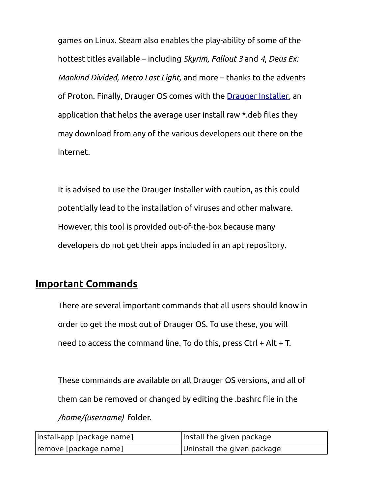games on Linux. Steam also enables the play-ability of some of the hottest titles available – including *Skyrim, Fallout 3* and *4*, *Deus Ex: Mankind Divided, Metro Last Light,* and more – thanks to the advents of Proton. Finally, Drauger OS comes with the [Drauger Installer](https://github.com/drauger-os-development/drauger-installer), an application that helps the average user install raw \*.deb files they may download from any of the various developers out there on the Internet.

It is advised to use the Drauger Installer with caution, as this could potentially lead to the installation of viruses and other malware. However, this tool is provided out-of-the-box because many developers do not get their apps included in an apt repository.

#### <span id="page-9-0"></span>**Important Commands**

There are several important commands that all users should know in order to get the most out of Drauger OS. To use these, you will need to access the command line. To do this, press Ctrl + Alt + T.

These commands are available on all Drauger OS versions, and all of them can be removed or changed by editing the .bashrc file in the */home/(username)* folder.

| install-app [package name] | Install the given package   |
|----------------------------|-----------------------------|
| remove [package name]      | Uninstall the given package |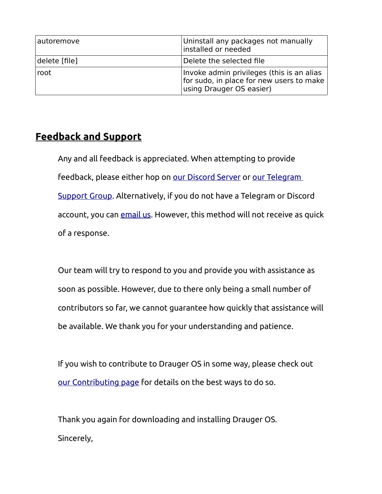| autoremove    | Uninstall any packages not manually<br>installed or needed                                                        |
|---------------|-------------------------------------------------------------------------------------------------------------------|
| delete [file] | Delete the selected file                                                                                          |
| root          | Invoke admin privileges (this is an alias<br>for sudo, in place for new users to make<br>using Drauger OS easier) |

#### <span id="page-10-0"></span>**Feedback and Support**

Any and all feedback is appreciated. When attempting to provide feedback, please either hop on [our Discord Server](https://discord.gg/JW8FGrc) or our Telegram [Support Group](https://t.me/draugeros). Alternatively, if you do not have a Telegram or Discord account, you can [email us.](mailto:contact@draugeros.org) However, this method will not receive as quick of a response.

Our team will try to respond to you and provide you with assistance as soon as possible. However, due to there only being a small number of contributors so far, we cannot guarantee how quickly that assistance will be available. We thank you for your understanding and patience.

If you wish to contribute to Drauger OS in some way, please check out [our Contributing page](https://www.draugeros.org/go/contribute/) for details on the best ways to do so.

Thank you again for downloading and installing Drauger OS. Sincerely,